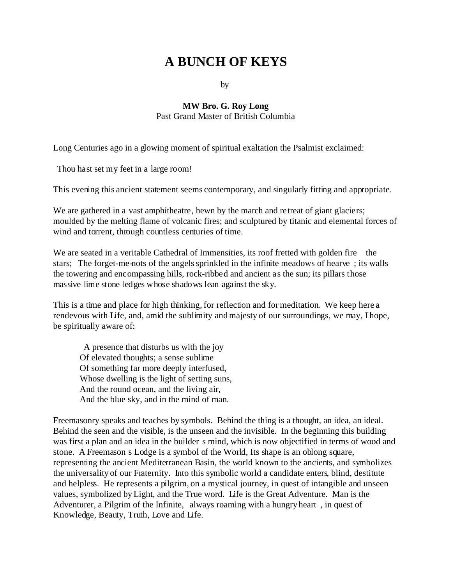# **A BUNCH OF KEYS**

by

#### **MW Bro. G. Roy Long** Past Grand Master of British Columbia

Long Centuries ago in a glowing moment of spiritual exaltation the Psalmist exclaimed:

Thou hast set my feet in a large room!

This evening this ancient statement seems contemporary, and singularly fitting and appropriate.

We are gathered in a vast amphitheatre, hewn by the march and retreat of giant glaciers; moulded by the melting flame of volcanic fires; and sculptured by titanic and elemental forces of wind and torrent, through countless centuries of time.

We are seated in a veritable Cathedral of Immensities, its roof fretted with golden fire the stars; The forget-me-nots of the angels sprinkled in the infinite meadows of hearve ; its walls the towering and encompassing hills, rock-ribbed and ancient as the sun; its pillars those massive lime stone ledges whose shadows lean against the sky.

This is a time and place for high thinking, for reflection and for meditation. We keep here a rendevous with Life, and, amid the sublimity and majesty of our surroundings, we may, I hope, be spiritually aware of:

 A presence that disturbs us with the joy Of elevated thoughts; a sense sublime Of something far more deeply interfused, Whose dwelling is the light of setting suns, And the round ocean, and the living air, And the blue sky, and in the mind of man.

Freemasonry speaks and teaches by symbols. Behind the thing is a thought, an idea, an ideal. Behind the seen and the visible, is the unseen and the invisible. In the beginning this building was first a plan and an idea in the builder s mind, which is now objectified in terms of wood and stone. A Freemason s Lodge is a symbol of the World, Its shape is an oblong square, representing the ancient Mediterranean Basin, the world known to the ancients, and symbolizes the universality of our Fraternity. Into this symbolic world a candidate enters, blind, destitute and helpless. He represents a pilgrim, on a mystical journey, in quest of intangible and unseen values, symbolized by Light, and the True word. Life is the Great Adventure. Man is the Adventurer, a Pilgrim of the Infinite, always roaming with a hungry heart , in quest of Knowledge, Beauty, Truth, Love and Life.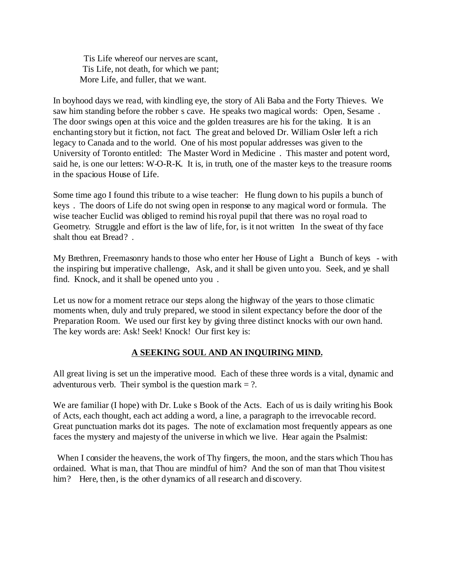Tis Life whereof our nerves are scant, Tis Life, not death, for which we pant; More Life, and fuller, that we want.

In boyhood days we read, with kindling eye, the story of Ali Baba and the Forty Thieves. We saw him standing before the robber s cave. He speaks two magical words: Open, Sesame . The door swings open at this voice and the golden treasures are his for the taking. It is an enchanting story but it fiction, not fact. The great and beloved Dr. William Osler left a rich legacy to Canada and to the world. One of his most popular addresses was given to the University of Toronto entitled: The Master Word in Medicine . This master and potent word, said he, is one our letters: W-O-R-K. It is, in truth, one of the master keys to the treasure rooms in the spacious House of Life.

Some time ago I found this tribute to a wise teacher: He flung down to his pupils a bunch of keys . The doors of Life do not swing open in response to any magical word or formula. The wise teacher Euclid was obliged to remind his royal pupil that there was no royal road to Geometry. Struggle and effort is the law of life, for, is it not written In the sweat of thy face shalt thou eat Bread? .

My Brethren, Freemasonry hands to those who enter her House of Light a Bunch of keys - with the inspiring but imperative challenge, Ask, and it shall be given unto you. Seek, and ye shall find. Knock, and it shall be opened unto you .

Let us now for a moment retrace our steps along the highway of the years to those climatic moments when, duly and truly prepared, we stood in silent expectancy before the door of the Preparation Room. We used our first key by giving three distinct knocks with our own hand. The key words are: Ask! Seek! Knock! Our first key is:

### **A SEEKING SOUL AND AN INQUIRING MIND.**

All great living is set un the imperative mood. Each of these three words is a vital, dynamic and adventurous verb. Their symbol is the question mark  $= ?$ .

We are familiar (I hope) with Dr. Luke s Book of the Acts. Each of us is daily writing his Book of Acts, each thought, each act adding a word, a line, a paragraph to the irrevocable record. Great punctuation marks dot its pages. The note of exclamation most frequently appears as one faces the mystery and majesty of the universe in which we live. Hear again the Psalmist:

 When I consider the heavens, the work of Thy fingers, the moon, and the stars which Thou has ordained. What is man, that Thou are mindful of him? And the son of man that Thou visitest him? Here, then, is the other dynamics of all research and discovery.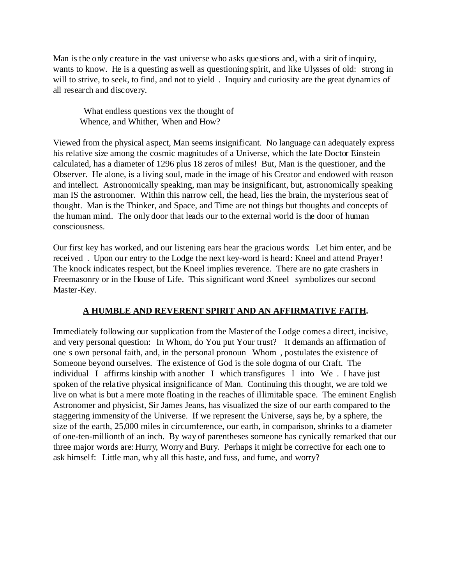Man is the only creature in the vast universe who asks questions and, with a sirit of inquiry, wants to know. He is a questing as well as questioning spirit, and like Ulysses of old: strong in will to strive, to seek, to find, and not to yield. Inquiry and curiosity are the great dynamics of all research and discovery.

 What endless questions vex the thought of Whence, and Whither, When and How?

Viewed from the physical aspect, Man seems insignificant. No language can adequately express his relative size among the cosmic magnitudes of a Universe, which the late Doctor Einstein calculated, has a diameter of 1296 plus 18 zeros of miles! But, Man is the questioner, and the Observer. He alone, is a living soul, made in the image of his Creator and endowed with reason and intellect. Astronomically speaking, man may be insignificant, but, astronomically speaking man IS the astronomer. Within this narrow cell, the head, lies the brain, the mysterious seat of thought. Man is the Thinker, and Space, and Time are not things but thoughts and concepts of the human mind. The only door that leads our to the external world is the door of human consciousness.

Our first key has worked, and our listening ears hear the gracious words: Let him enter, and be received . Upon our entry to the Lodge the next key-word is heard: Kneel and attend Prayer! The knock indicates respect, but the Kneel implies reverence. There are no gate crashers in Freemasonry or in the House of Life. This significant word :Kneel symbolizes our second Master-Key.

## **A HUMBLE AND REVERENT SPIRIT AND AN AFFIRMATIVE FAITH.**

Immediately following our supplication from the Master of the Lodge comes a direct, incisive, and very personal question: In Whom, do You put Your trust? It demands an affirmation of one s own personal faith, and, in the personal pronoun Whom , postulates the existence of Someone beyond ourselves. The existence of God is the sole dogma of our Craft. The individual I affirms kinship with another I which transfigures I into We. I have just spoken of the relative physical insignificance of Man. Continuing this thought, we are told we live on what is but a mere mote floating in the reaches of illimitable space. The eminent English Astronomer and physicist, Sir James Jeans, has visualized the size of our earth compared to the staggering immensity of the Universe. If we represent the Universe, says he, by a sphere, the size of the earth, 25,000 miles in circumference, our earth, in comparison, shrinks to a diameter of one-ten-millionth of an inch. By way of parentheses someone has cynically remarked that our three major words are: Hurry, Worry and Bury. Perhaps it might be corrective for each one to ask himself: Little man, why all this haste, and fuss, and fume, and worry?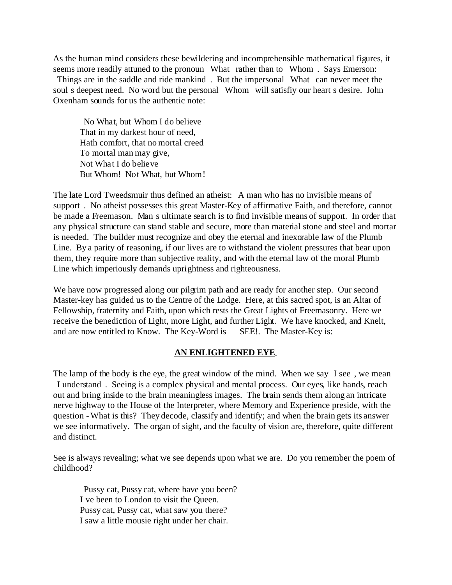As the human mind considers these bewildering and incomprehensible mathematical figures, it seems more readily attuned to the pronoun What rather than to Whom . Says Emerson:

Things are in the saddle and ride mankind. But the impersonal What can never meet the soul s deepest need. No word but the personal Whom will satisfiy our heart s desire. John Oxenham sounds for us the authentic note:

 No What, but Whom I do believe That in my darkest hour of need, Hath comfort, that no mortal creed To mortal man may give, Not What I do believe But Whom! Not What, but Whom!

The late Lord Tweedsmuir thus defined an atheist: A man who has no invisible means of support. No atheist possesses this great Master-Key of affirmative Faith, and therefore, cannot be made a Freemason. Man s ultimate search is to find invisible means of support. In order that any physical structure can stand stable and secure, more than material stone and steel and mortar is needed. The builder must recognize and obey the eternal and inexorable law of the Plumb Line. By a parity of reasoning, if our lives are to withstand the violent pressures that bear upon them, they require more than subjective reality, and with the eternal law of the moral Plumb Line which imperiously demands uprightness and righteousness.

We have now progressed along our pilgrim path and are ready for another step. Our second Master-key has guided us to the Centre of the Lodge. Here, at this sacred spot, is an Altar of Fellowship, fraternity and Faith, upon which rests the Great Lights of Freemasonry. Here we receive the benediction of Light, more Light, and further Light. We have knocked, and Knelt, and are now entitled to Know. The Key-Word is SEE!. The Master-Key is:

#### **AN ENLIGHTENED EYE**.

The lamp of the body is the eye, the great window of the mind. When we say I see, we mean I understand . Seeing is a complex physical and mental process. Our eyes, like hands, reach out and bring inside to the brain meaningless images. The brain sends them along an intricate nerve highway to the House of the Interpreter, where Memory and Experience preside, with the question - What is this? They decode, classify and identify; and when the brain gets its answer we see informatively. The organ of sight, and the faculty of vision are, therefore, quite different and distinct.

See is always revealing; what we see depends upon what we are. Do you remember the poem of childhood?

 Pussy cat, Pussy cat, where have you been? I ve been to London to visit the Queen. Pussy cat, Pussy cat, what saw you there? I saw a little mousie right under her chair.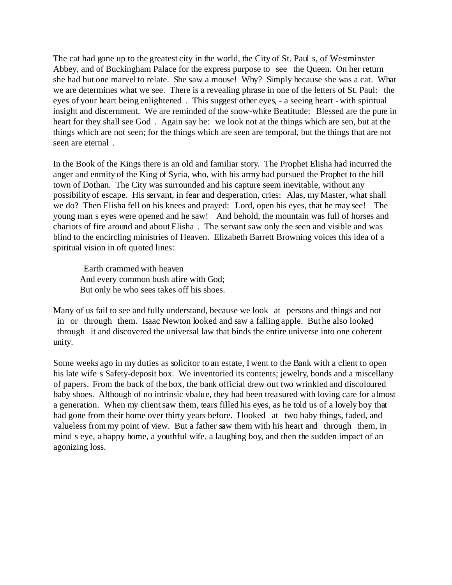The cat had gone up to the greatest city in the world, the City of St. Paul s, of Westminster Abbey, and of Buckingham Palace for the express purpose to see the Queen. On her return she had but one marvel to relate. She saw a mouse! Why? Simply because she was a cat. What we are determines what we see. There is a revealing phrase in one of the letters of St. Paul: the eyes of your heart being enlightened . This suggest other eyes, - a seeing heart - with spiritual insight and discernment. We are reminded of the snow-white Beatitude: Blessed are the pure in heart for they shall see God. Again say he: we look not at the things which are sen, but at the things which are not seen; for the things which are seen are temporal, but the things that are not seen are eternal .

In the Book of the Kings there is an old and familiar story. The Prophet Elisha had incurred the anger and enmity of the King of Syria, who, with his army had pursued the Prophet to the hill town of Dothan. The City was surrounded and his capture seem inevitable, without any possibility of escape. His servant, in fear and desperation, cries: Alas, my Master, what shall we do? Then Elisha fell on his knees and prayed: Lord, open his eyes, that he may see! The young man s eyes were opened and he saw! And behold, the mountain was full of horses and chariots of fire around and about Elisha . The servant saw only the seen and visible and was blind to the encircling ministries of Heaven. Elizabeth Barrett Browning voices this idea of a spiritual vision in oft quoted lines:

 Earth crammed with heaven And every common bush afire with God; But only he who sees takes off his shoes.

Many of us fail to see and fully understand, because we look at persons and things and not in or through them. Isaac Newton looked and saw a falling apple. But he also looked through it and discovered the universal law that binds the entire universe into one coherent unity.

Some weeks ago in my duties as solicitor to an estate, I went to the Bank with a client to open his late wife s Safety-deposit box. We inventoried its contents; jewelry, bonds and a miscellany of papers. From the back of the box, the bank official drew out two wrinkled and discoloured baby shoes. Although of no intrinsic vbalue, they had been treasured with loving care for almost a generation. When my client saw them, tears filled his eyes, as he told us of a lovely boy that had gone from their home over thirty years before. I looked at two baby things, faded, and valueless from my point of view. But a father saw them with his heart and through them, in mind s eye, a happy home, a youthful wife, a laughing boy, and then the sudden impact of an agonizing loss.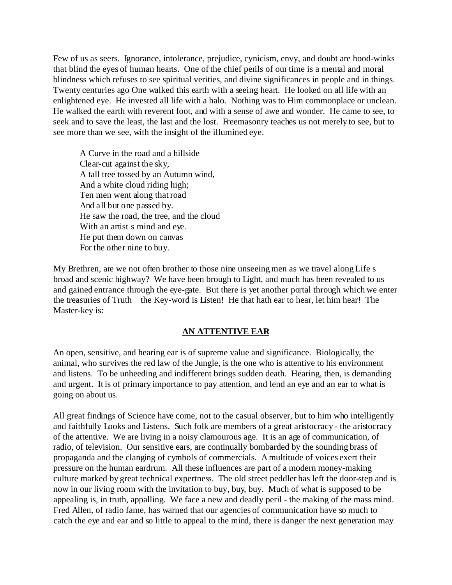Few of us as seers. Ignorance, intolerance, prejudice, cynicism, envy, and doubt are hood-winks that blind the eyes of human hearts. One of the chief perils of our time is a mental and moral blindness which refuses to see spiritual verities, and divine significances in people and in things. Twenty centuries ago One walked this earth with a seeing heart. He looked on all life with an enlightened eye. He invested all life with a halo. Nothing was to Him commonplace or unclean. He walked the earth with reverent foot, and with a sense of awe and wonder. He came to see, to seek and to save the least, the last and the lost. Freemasonry teaches us not merely to see, but to see more than we see, with the insight of the illumined eye.

A Curve in the road and a hillside Clear-cut against the sky, A tall tree tossed by an Autumn wind, And a white cloud riding high; Ten men went along that road And all but one passed by. He saw the road, the tree, and the cloud With an artist s mind and eye. He put them down on canvas For the other nine to buy.

My Brethren, are we not often brother to those nine unseeing men as we travel along Life s broad and scenic highway? We have been brough to Light, and much has been revealed to us and gained entrance through the eye-gate. But there is yet another portal through which we enter the treasuries of Truth the Key-word is Listen! He that hath ear to hear, let him hear! The Master-key is:

#### **AN ATTENTIVE EAR**

An open, sensitive, and hearing ear is of supreme value and significance. Biologically, the animal, who survives the red law of the Jungle, is the one who is attentive to his environment and listens. To be unheeding and indifferent brings sudden death. Hearing, then, is demanding and urgent. It is of primary importance to pay attention, and lend an eye and an ear to what is going on about us.

All great findings of Science have come, not to the casual observer, but to him who intelligently and faithfully Looks and Listens. Such folk are members of a great aristocracy - the aristocracy of the attentive. We are living in a noisy clamourous age. It is an age of communication, of radio, of television. Our sensitive ears, are continually bombarded by the sounding brass of propaganda and the clanging of cymbols of commercials. A multitude of voices exert their pressure on the human eardrum. All these influences are part of a modern money-making culture marked by great technical expertness. The old street peddler has left the door-step and is now in our living room with the invitation to buy, buy, buy. Much of what is supposed to be appealing is, in truth, appalling. We face a new and deadly peril - the making of the mass mind. Fred Allen, of radio fame, has warned that our agencies of communication have so much to catch the eye and ear and so little to appeal to the mind, there is danger the next generation may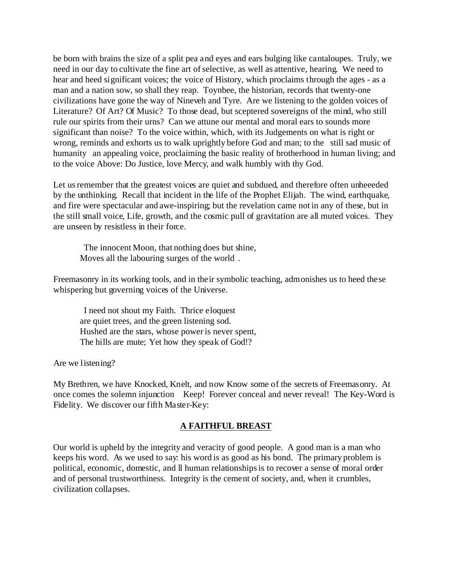be born with brains the size of a split pea and eyes and ears bulging like cantaloupes. Truly, we need in our day to cultivate the fine art of selective, as well as attentive, hearing. We need to hear and heed significant voices; the voice of History, which proclaims through the ages - as a man and a nation sow, so shall they reap. Toynbee, the historian, records that twenty-one civilizations have gone the way of Nineveh and Tyre. Are we listening to the golden voices of Literature? Of Art? Of Music? To those dead, but sceptered sovereigns of the mind, who still rule our spirits from their urns? Can we attune our mental and moral ears to sounds more significant than noise? To the voice within, which, with its Judgements on what is right or wrong, reminds and exhorts us to walk uprightly before God and man; to the still sad music of humanity an appealing voice, proclaiming the basic reality of brotherhood in human living; and to the voice Above: Do Justice, love Mercy, and walk humbly with thy God.

Let us remember that the greatest voices are quiet and subdued, and therefore often unheeeded by the unthinking. Recall that incident in the life of the Prophet Elijah. The wind, earthquake, and fire were spectacular and awe-inspiring; but the revelation came not in any of these, but in the still small voice, Life, growth, and the cosmic pull of gravitation are all muted voices. They are unseen by resistless in their force.

 The innocent Moon, that nothing does but shine, Moves all the labouring surges of the world .

Freemasonry in its working tools, and in their symbolic teaching, admonishes us to heed these whispering but governing voices of the Universe.

 I need not shout my Faith. Thrice eloquest are quiet trees, and the green listening sod. Hushed are the stars, whose power is never spent, The hills are mute; Yet how they speak of God!?

Are we listening?

My Brethren, we have Knocked, Knelt, and now Know some of the secrets of Freemasonry. At once comes the solemn injunction Keep! Forever conceal and never reveal! The Key-Word is Fidelity. We discover our fifth Master-Key:

#### **A FAITHFUL BREAST**

Our world is upheld by the integrity and veracity of good people. A good man is a man who keeps his word. As we used to say: his word is as good as his bond. The primary problem is political, economic, domestic, and ll human relationships is to recover a sense of moral order and of personal trustworthiness. Integrity is the cement of society, and, when it crumbles, civilization collapses.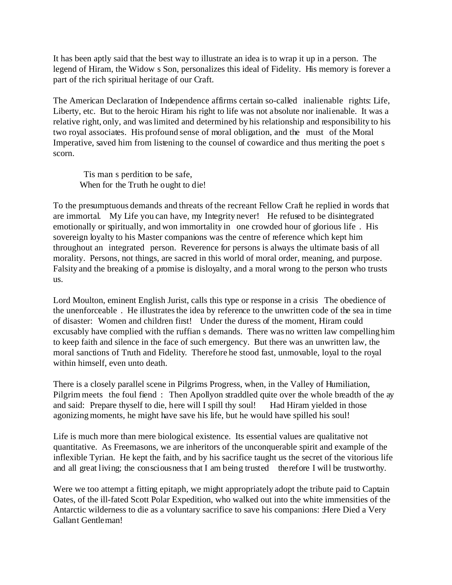It has been aptly said that the best way to illustrate an idea is to wrap it up in a person. The legend of Hiram, the Widow s Son, personalizes this ideal of Fidelity. His memory is forever a part of the rich spiritual heritage of our Craft.

The American Declaration of Independence affirms certain so-called inalienable rights: Life, Liberty, etc. But to the heroic Hiram his right to life was not absolute nor inalienable. It was a relative right, only, and was limited and determined by his relationship and responsibility to his two royal associates. His profound sense of moral obligation, and the must of the Moral Imperative, saved him from listening to the counsel of cowardice and thus meriting the poet s scorn.

 Tis man s perdition to be safe, When for the Truth he ought to die!

To the presumptuous demands and threats of the recreant Fellow Craft he replied in words that are immortal. My Life you can have, my Integrity never! He refused to be disintegrated emotionally or spiritually, and won immortality in one crowded hour of glorious life . His sovereign loyalty to his Master companions was the centre of reference which kept him throughout an integrated person. Reverence for persons is always the ultimate basis of all morality. Persons, not things, are sacred in this world of moral order, meaning, and purpose. Falsity and the breaking of a promise is disloyalty, and a moral wrong to the person who trusts us.

Lord Moulton, eminent English Jurist, calls this type or response in a crisis The obedience of the unenforceable . He illustrates the idea by reference to the unwritten code of the sea in time of disaster: Women and children first! Under the duress of the moment, Hiram could excusably have complied with the ruffian s demands. There was no written law compelling him to keep faith and silence in the face of such emergency. But there was an unwritten law, the moral sanctions of Truth and Fidelity. Therefore he stood fast, unmovable, loyal to the royal within himself, even unto death.

There is a closely parallel scene in Pilgrims Progress, when, in the Valley of Humiliation, Pilgrim meets the foul fiend : Then Apollyon straddled quite over the whole breadth of the ay and said: Prepare thyself to die, here will I spill thy soul! Had Hiram yielded in those agonizing moments, he might have save his life, but he would have spilled his soul!

Life is much more than mere biological existence. Its essential values are qualitative not quantitative. As Freemasons, we are inheritors of the unconquerable spirit and example of the inflexible Tyrian. He kept the faith, and by his sacrifice taught us the secret of the vitorious life and all great living; the consciousness that I am being trusted therefore I will be trustworthy.

Were we too attempt a fitting epitaph, we might appropriately adopt the tribute paid to Captain Oates, of the ill-fated Scott Polar Expedition, who walked out into the white immensities of the Antarctic wilderness to die as a voluntary sacrifice to save his companions: :Here Died a Very Gallant Gentleman!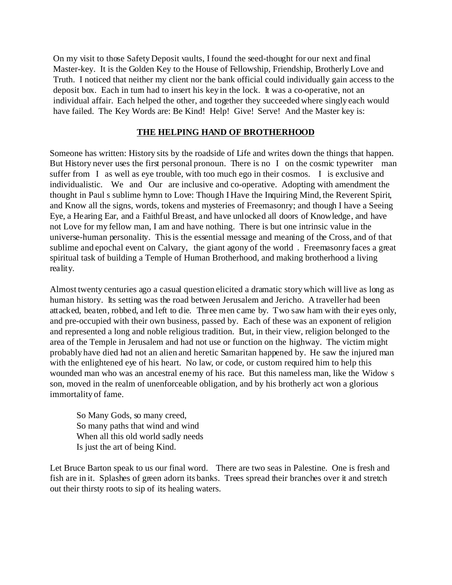On my visit to those Safety Deposit vaults, I found the seed-thought for our next and final Master-key. It is the Golden Key to the House of Fellowship, Friendship, Brotherly Love and Truth. I noticed that neither my client nor the bank official could individually gain access to the deposit box. Each in turn had to insert his key in the lock. It was a co-operative, not an individual affair. Each helped the other, and together they succeeded where singly each would have failed. The Key Words are: Be Kind! Help! Give! Serve! And the Master key is:

#### **THE HELPING HAND OF BROTHERHOOD**

Someone has written: History sits by the roadside of Life and writes down the things that happen. But History never uses the first personal pronoun. There is no I on the cosmic typewriter man suffer from I as well as eye trouble, with too much ego in their cosmos. I is exclusive and individualistic. We and Our are inclusive and co-operative. Adopting with amendment the thought in Paul s sublime hymn to Love: Though I Have the Inquiring Mind, the Reverent Spirit, and Know all the signs, words, tokens and mysteries of Freemasonry; and though I have a Seeing Eye, a Hearing Ear, and a Faithful Breast, and have unlocked all doors of Knowledge, and have not Love for my fellow man, I am and have nothing. There is but one intrinsic value in the universe-human personality. This is the essential message and meaning of the Cross, and of that sublime and epochal event on Calvary, the giant agony of the world. Freemasonry faces a great spiritual task of building a Temple of Human Brotherhood, and making brotherhood a living reality.

Almost twenty centuries ago a casual question elicited a dramatic story which will live as long as human history. Its setting was the road between Jerusalem and Jericho. A traveller had been attacked, beaten, robbed, and left to die. Three men came by. Two saw ham with their eyes only, and pre-occupied with their own business, passed by. Each of these was an exponent of religion and represented a long and noble religious tradition. But, in their view, religion belonged to the area of the Temple in Jerusalem and had not use or function on the highway. The victim might probably have died had not an alien and heretic Samaritan happened by. He saw the injured man with the enlightened eye of his heart. No law, or code, or custom required him to help this wounded man who was an ancestral enemy of his race. But this nameless man, like the Widow s son, moved in the realm of unenforceable obligation, and by his brotherly act won a glorious immortality of fame.

So Many Gods, so many creed, So many paths that wind and wind When all this old world sadly needs Is just the art of being Kind.

Let Bruce Barton speak to us our final word. There are two seas in Palestine. One is fresh and fish are in it. Splashes of green adorn its banks. Trees spread their branches over it and stretch out their thirsty roots to sip of its healing waters.